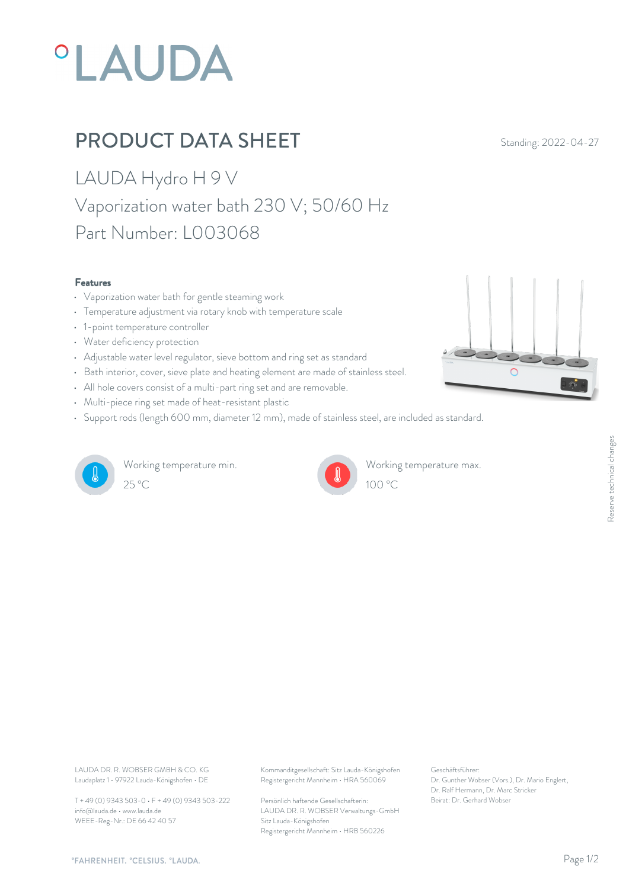# **°LAUDA**

## PRODUCT DATA SHEET Standing: 2022-04-27

LAUDA Hydro H 9 V Vaporization water bath 230 V; 50/60 Hz Part Number: L003068

#### Features

- Vaporization water bath for gentle steaming work
- Temperature adjustment via rotary knob with temperature scale
- 1-point temperature controller
- Water deficiency protection
- Adjustable water level regulator, sieve bottom and ring set as standard
- Bath interior, cover, sieve plate and heating element are made of stainless steel.
- All hole covers consist of a multi-part ring set and are removable.
- Multi-piece ring set made of heat-resistant plastic
- Support rods (length 600 mm, diameter 12 mm), made of stainless steel, are included as standard.



Working temperature min.  $25^{\circ}$ C  $100^{\circ}$ C



Working temperature max.  $100 \, \textdegree$ C

 $\overline{O}$ 

Laudaplatz 1 • 97922 Lauda-Königshofen • DE

T + 49 (0) 9343 503-0 • F + 49 (0) 9343 503-222 info@lauda.de • www.lauda.de WEEE-Reg-Nr.: DE 66 42 40 57

LAUDA DR. R. WOBSER GMBH & CO. KG Kommanditgesellschaft: Sitz Lauda-Königshofen Geschäftsführer: Registergericht Mannheim • HRA 560069

> Persönlich haftende Gesellschafterin: Beirat: Dr. Gerhard Wobse LAUDA DR. R. WOBSER Verwaltungs-GmbH Sitz Lauda-Königshofen Registergericht Mannheim • HRB 560226

Geschäftsführer: Dr. Gunther Wobser (Vors.), Dr. Mario Englert, Dr. Ralf Hermann, Dr. Marc Stricker Beischäftsführer:<br>Beischäftsführer:<br>Dr. Gunther Wobser (Vors.), Dr. Mario Englert,<br>Dr. Ralf Hermann, Dr. Marc Stricker<br>Beirat: Dr. Gerhard Wobser